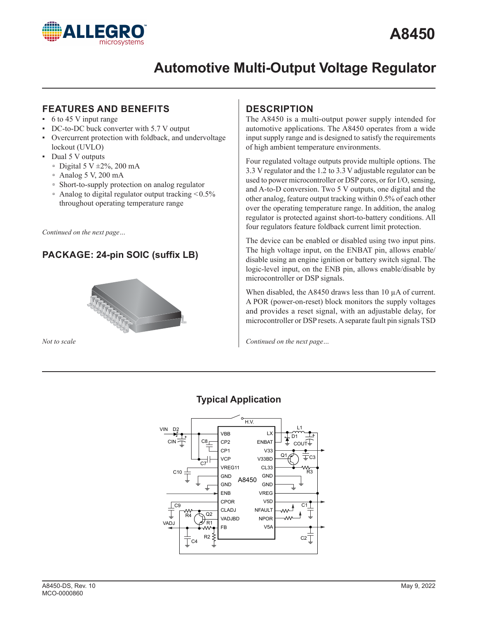

# **FEATURES AND BENEFITS**

- $\cdot$  6 to 45 V input range
- DC-to-DC buck converter with 5.7 V output
- Overcurrent protection with foldback, and undervoltage lockout (UVLO)
- Dual 5 V outputs
	- $\degree$  Digital 5 V  $\pm 2\%$ , 200 mA
	- $\degree$  Analog 5 V, 200 mA
	- □ Short-to-supply protection on analog regulator
	- $\alpha$  Analog to digital regulator output tracking  $\leq 0.5\%$ throughout operating temperature range

*Continued on the next page…*

# **PACKAGE: 24-pin SOIC (suffix LB)**



*Not to scale*

# **DESCRIPTION**

The A8450 is a multi-output power supply intended for automotive applications. The A8450 operates from a wide input supply range and is designed to satisfy the requirements of high ambient temperature environments.

Four regulated voltage outputs provide multiple options. The 3.3 V regulator and the 1.2 to 3.3 V adjustable regulator can be used to power microcontroller or DSP cores, or for I/O, sensing, and A-to-D conversion. Two 5 V outputs, one digital and the other analog, feature output tracking within 0.5% of each other over the operating temperature range. In addition, the analog regulator is protected against short-to-battery conditions. All four regulators feature foldback current limit protection.

The device can be enabled or disabled using two input pins. The high voltage input, on the ENBAT pin, allows enable/ disable using an engine ignition or battery switch signal. The logic-level input, on the ENB pin, allows enable/disable by microcontroller or DSP signals.

When disabled, the A8450 draws less than 10 µA of current. A POR (power-on-reset) block monitors the supply voltages and provides a reset signal, with an adjustable delay, for microcontroller or DSP resets. A separate fault pin signals TSD

*Continued on the next page…*



# **Typical Application**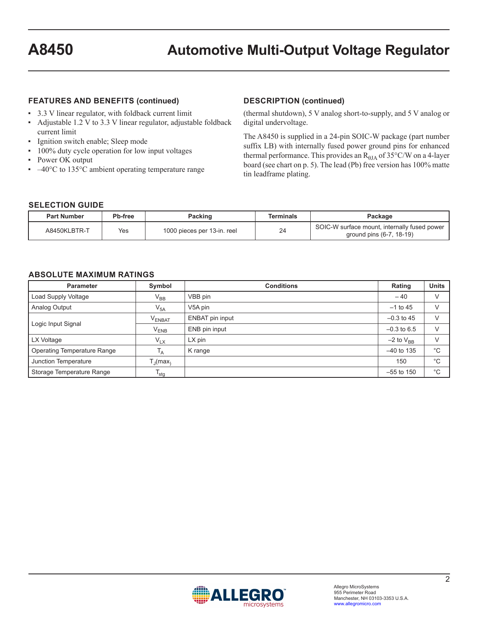### **FEATURES AND BENEFITS (continued)**

- ▪ 3.3 V linear regulator, with foldback current limit
- ▪ Adjustable 1.2 V to 3.3 V linear regulator, adjustable foldback current limit
- **·** Ignition switch enable; Sleep mode
- 100% duty cycle operation for low input voltages
- Power OK output
- $\cdot$  -40°C to 135°C ambient operating temperature range

### **DESCRIPTION (continued)**

(thermal shutdown), 5 V analog short-to-supply, and 5 V analog or digital undervoltage.

The A8450 is supplied in a 24-pin SOIC-W package (part number suffix LB) with internally fused power ground pins for enhanced thermal performance. This provides an  $R_{\theta I A}$  of 35°C/W on a 4-layer board (see chart on p. 5). The lead (Pb) free version has 100% matte tin leadframe plating.

#### **SELECTION GUIDE**

| <b>Part Number</b> | <b>Pb-free</b> | Packing                     | Terminals | Package                                                                  |
|--------------------|----------------|-----------------------------|-----------|--------------------------------------------------------------------------|
| A8450KLBTR-T       | Yes            | 1000 pieces per 13-in. reel | 24        | SOIC-W surface mount, internally fused power<br>ground pins (6-7, 18-19) |

### **ABSOLUTE MAXIMUM RATINGS**

| <b>Parameter</b>                   | Symbol               | <b>Conditions</b> | Rating           | <b>Units</b> |
|------------------------------------|----------------------|-------------------|------------------|--------------|
| Load Supply Voltage                | $\rm V_{BB}$         | VBB pin           | $-40$            | ν            |
| Analog Output                      | $V_{5A}$             | V5A pin           | $-1$ to 45       | $\vee$       |
|                                    | $\rm V_{ENBAT}$      | ENBAT pin input   | $-0.3$ to 45     | $\vee$       |
| Logic Input Signal                 | $V_{ENB}$            | ENB pin input     | $-0.3$ to 6.5    | $\vee$       |
| LX Voltage                         | $V_{LX}$             | $LX$ pin          | $-2$ to $V_{BR}$ | $\vee$       |
| <b>Operating Temperature Range</b> | T <sub>A</sub>       | K range           | $-40$ to 135     | °€           |
| Junction Temperature               | T,ı(max <sub>∖</sub> |                   | 150              | °€           |
| Storage Temperature Range          | $I_{\text{stg}}$     |                   | $-55$ to 150     | °€           |

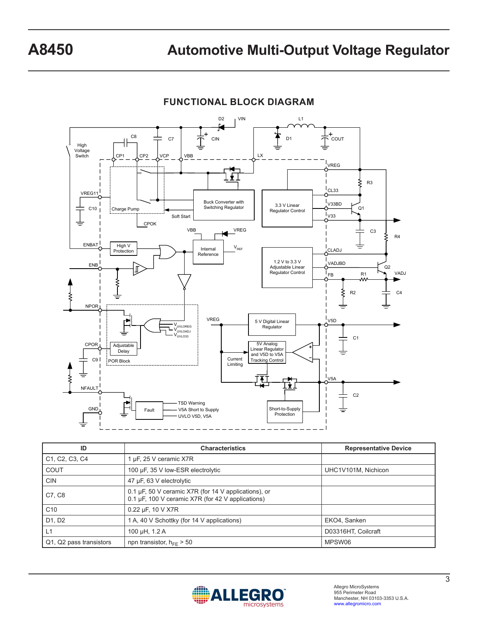

| ID                                                                | <b>Characteristics</b>                                                                                    | <b>Representative Device</b> |
|-------------------------------------------------------------------|-----------------------------------------------------------------------------------------------------------|------------------------------|
| C <sub>1</sub> , C <sub>2</sub> , C <sub>3</sub> , C <sub>4</sub> | uF, 25 V ceramic X7R                                                                                      |                              |
| COUT                                                              | 100 µF, 35 V low-ESR electrolytic                                                                         | UHC1V101M, Nichicon          |
| <b>CIN</b>                                                        | 47 µF, 63 V electrolytic                                                                                  |                              |
| C7, C8                                                            | 0.1 µF, 50 V ceramic X7R (for 14 V applications), or<br>0.1 µF, 100 V ceramic X7R (for 42 V applications) |                              |
| C <sub>10</sub>                                                   | 0.22 µF, 10 V X7R                                                                                         |                              |
| D1, D2                                                            | 1 A, 40 V Schottky (for 14 V applications)                                                                | EKO4, Sanken                 |
| L1                                                                | 100 µH, 1.2 A                                                                                             | D03316HT, Coilcraft          |
| Q1, Q2 pass transistors                                           | npn transistor, $h_{FE} > 50$                                                                             | MPSW06                       |



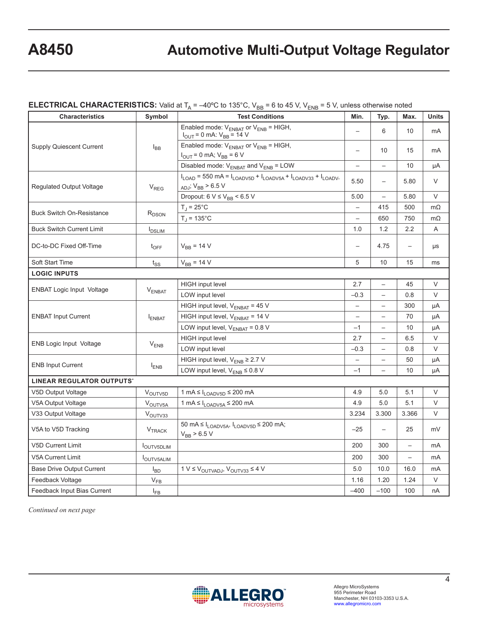## **ELECTRICAL CHARACTERISTICS:** Valid at  $T_A = -40^{\circ}$ C to 135 $^{\circ}$ C, V<sub>BB</sub> = 6 to 45 V, V<sub>ENB</sub> = 5 V, unless otherwise noted

| <b>Characteristics</b>           | Symbol              | <b>Test Conditions</b>                                                                                            | Min.                     | Typ.                     | Max.                     | <b>Units</b>   |
|----------------------------------|---------------------|-------------------------------------------------------------------------------------------------------------------|--------------------------|--------------------------|--------------------------|----------------|
| <b>Supply Quiescent Current</b>  | $I_{BB}$            | Enabled mode: $V_{ENBAT}$ or $V_{ENB}$ = HIGH,<br>$V_{\text{OUT}} = 0$ mA: $V_{\text{BB}} = 14$ V                 | $\overline{\phantom{0}}$ | 6                        | 10                       | m <sub>A</sub> |
|                                  |                     | Enabled mode: $V_{ENBAT}$ or $V_{ENB}$ = HIGH,<br>$I_{\text{OUT}} = 0 \text{ mA}$ ; $V_{\text{BB}} = 6 \text{ V}$ |                          | 10                       | 15                       | mA             |
|                                  |                     | Disabled mode: $V_{ENBAT}$ and $V_{ENB}$ = LOW                                                                    | $\qquad \qquad -$        | $\qquad \qquad -$        | 10                       | μA             |
| <b>Regulated Output Voltage</b>  | $V_{REG}$           | $I_{LOAD}$ = 550 mA = $I_{LOADV5D}$ + $I_{LOADV5A}$ + $I_{LOADV33}$ + $I_{LOADV-}$<br>$_{ADJ}$ ; $V_{BB}$ > 6.5 V | 5.50                     | $\overline{\phantom{0}}$ | 5.80                     | V              |
|                                  |                     | Dropout: $6 V \leq V_{BB}$ < 6.5 V                                                                                | 5.00                     | $\equiv$                 | 5.80                     | V              |
|                                  |                     | $T_J = 25^{\circ}C$                                                                                               | $\overline{a}$           | 415                      | 500                      | $m\Omega$      |
| <b>Buck Switch On-Resistance</b> | R <sub>DSON</sub>   | $T_{\rm J}$ = 135°C                                                                                               | $\overline{\phantom{0}}$ | 650                      | 750                      | $m\Omega$      |
| <b>Buck Switch Current Limit</b> | $I_{DSLIM}$         |                                                                                                                   | 1.0                      | 1.2                      | 2.2                      | A              |
| DC-to-DC Fixed Off-Time          | $t_{\text{OFF}}$    | $V_{BB} = 14 V$                                                                                                   | $\overline{\phantom{0}}$ | 4.75                     | $\overline{\phantom{0}}$ | μs             |
| Soft Start Time                  | $t_{SS}$            | $V_{BB} = 14 V$                                                                                                   | 5                        | 10                       | 15                       | ms             |
| <b>LOGIC INPUTS</b>              |                     |                                                                                                                   |                          |                          |                          |                |
|                                  | $V_{ENBAT}$         | <b>HIGH</b> input level                                                                                           | 2.7                      | $\overline{\phantom{0}}$ | 45                       | V              |
| <b>ENBAT Logic Input Voltage</b> |                     | LOW input level                                                                                                   | $-0.3$                   | $\equiv$                 | 0.8                      | V              |
|                                  | <b>FNBAT</b>        | HIGH input level, $V_{ENBAT}$ = 45 V                                                                              | $\qquad \qquad -$        | $\qquad \qquad -$        | 300                      | μA             |
| <b>ENBAT Input Current</b>       |                     | HIGH input level, $V_{ENBAT}$ = 14 V                                                                              | $\overline{\phantom{0}}$ | $\overline{\phantom{0}}$ | 70                       | μA             |
|                                  |                     | LOW input level, $V_{ENBAT} = 0.8 V$                                                                              | $-1$                     | $\overline{\phantom{0}}$ | 10                       | μA             |
|                                  |                     | <b>HIGH</b> input level                                                                                           | 2.7                      | $\overline{\phantom{0}}$ | 6.5                      | $\vee$         |
| <b>ENB Logic Input Voltage</b>   | $V_{ENB}$           | LOW input level                                                                                                   | $-0.3$                   | $\overline{\phantom{0}}$ | 0.8                      | $\vee$         |
| <b>ENB Input Current</b>         | $I_{ENB}$           | HIGH input level, $V_{\text{ENB}} \geq 2.7$ V                                                                     | $\qquad \qquad -$        |                          | 50                       | μA             |
|                                  |                     | LOW input level, $V_{ENB} \leq 0.8 V$                                                                             | $-1$                     | $\qquad \qquad -$        | 10                       | μA             |
| <b>LINEAR REGULATOR OUTPUTS*</b> |                     |                                                                                                                   |                          |                          |                          |                |
| V5D Output Voltage               | V <sub>OUTV5D</sub> | 1 mA $\leq$ $I_{\text{LOADV5D}} \leq 200$ mA                                                                      | 4.9                      | 5.0                      | 5.1                      | V              |
| V5A Output Voltage               | V <sub>OUTV5A</sub> | $1 \text{ mA} \leq I_{\text{LOADV5A}} \leq 200 \text{ mA}$                                                        | 4.9                      | 5.0                      | 5.1                      | V              |
| V33 Output Voltage               | V <sub>OUTV33</sub> |                                                                                                                   | 3.234                    | 3.300                    | 3.366                    | V              |
| V5A to V5D Tracking              | $V_{\text{TRACK}}$  | 50 mA $\leq$ $I_{\text{LOADV5A}}$ , $I_{\text{LOADV5D}}$ $\leq$ 200 mA;<br>$V_{BB}$ > 6.5 V                       | $-25$                    | $\overline{\phantom{0}}$ | 25                       | mV             |
| <b>V5D Current Limit</b>         | <b>IOUTV5DLIM</b>   |                                                                                                                   | 200                      | 300                      | $\overline{\phantom{0}}$ | m <sub>A</sub> |
| <b>V5A Current Limit</b>         | <b>JOUTV5ALIM</b>   |                                                                                                                   | 200                      | 300                      | $\qquad \qquad -$        | mA             |
| <b>Base Drive Output Current</b> | $I_{BD}$            | $1 V \leq V_{\text{OUTVADI}}$ , $V_{\text{OUTV33}} \leq 4 V$                                                      | 5.0                      | 10.0                     | 16.0                     | mA             |
| Feedback Voltage                 | $V_{FB}$            |                                                                                                                   | 1.16                     | 1.20                     | 1.24                     | V              |
| Feedback Input Bias Current      | $I_{FB}$            |                                                                                                                   | $-400$                   | $-100$                   | 100                      | nA             |

*Continued on next page*

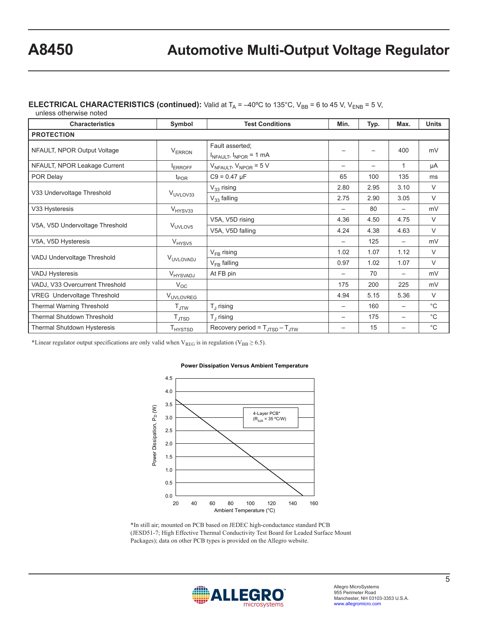### **ELECTRICAL CHARACTERISTICS (continued):** Valid at  $T_A = -40^{\circ}$ C to 135°C, V<sub>BB</sub> = 6 to 45 V, V<sub>ENB</sub> = 5 V,

unless otherwise noted

| <b>Characteristics</b>             | Symbol                     | <b>Test Conditions</b>                               | Min. | Typ.                     | Max.                     | <b>Units</b> |
|------------------------------------|----------------------------|------------------------------------------------------|------|--------------------------|--------------------------|--------------|
| <b>PROTECTION</b>                  |                            |                                                      |      |                          |                          |              |
| NFAULT, NPOR Output Voltage        | <b>VERRON</b>              | Fault asserted:<br>$I_{NFAULT}$ , $I_{NPOR} = 1$ mA  |      | $\overline{\phantom{0}}$ | 400                      | mV           |
| NFAULT, NPOR Leakage Current       | ERROFF                     | $V_{NFAULT}$ , $V_{NPOR}$ = 5 V                      |      | $\overline{\phantom{0}}$ | 1                        | μA           |
| POR Delay                          | $t_{\text{POR}}$           | $C9 = 0.47 \mu F$                                    | 65   | 100                      | 135                      | ms           |
| V33 Undervoltage Threshold         |                            | $V_{33}$ rising                                      | 2.80 | 2.95                     | 3.10                     | $\vee$       |
|                                    | V <sub>UVLOV33</sub>       | $V_{33}$ falling                                     | 2.75 | 2.90                     | 3.05                     | $\vee$       |
| V33 Hysteresis                     | V <sub>HYSV33</sub>        |                                                      |      | 80                       | $\overline{\phantom{0}}$ | mV           |
| V5A, V5D Undervoltage Threshold    |                            | V5A, V5D rising                                      | 4.36 | 4.50                     | 4.75                     | V            |
|                                    | V <sub>UVLOV5</sub>        | V5A, V5D falling                                     | 4.24 | 4.38                     | 4.63                     | $\vee$       |
| V5A, V5D Hysteresis                | V <sub>HYSV5</sub>         |                                                      |      | 125                      | $\overline{\phantom{m}}$ | mV           |
| VADJ Undervoltage Threshold        | VUVLOVADJ                  | $V_{FB}$ rising                                      | 1.02 | 1.07                     | 1.12                     | $\vee$       |
|                                    |                            | $V_{FB}$ falling                                     | 0.97 | 1.02                     | 1.07                     | V            |
| <b>VADJ Hysteresis</b>             | <b>V<sub>HYSVADJ</sub></b> | At FB pin                                            |      | 70                       |                          | mV           |
| VADJ, V33 Overcurrent Threshold    | $V_{OC}$                   |                                                      | 175  | 200                      | 225                      | mV           |
| <b>VREG</b> Undervoltage Threshold | VUVLOVREG                  |                                                      | 4.94 | 5.15                     | 5.36                     | $\vee$       |
| <b>Thermal Warning Threshold</b>   | $T_{\text{JTW}}$           | $T_{\rm d}$ rising                                   |      | 160                      |                          | $^{\circ}C$  |
| <b>Thermal Shutdown Threshold</b>  | $T_{\text{JTSD}}$          | $T_{\perp}$ rising                                   |      | 175                      |                          | $^{\circ}C$  |
| Thermal Shutdown Hysteresis        | T <sub>HYSTSD</sub>        | Recovery period = $T_{\text{JTSD}} - T_{\text{JTW}}$ |      | 15                       |                          | $^{\circ}C$  |

\*Linear regulator output specifications are only valid when  $V_{REG}$  is in regulation ( $V_{BB} \ge 6.5$ ).



#### **Power Dissipation Versus Ambient Temperature**

\*In still air; mounted on PCB based on JEDEC high-conductance standard PCB (JESD51-7; High Effective Thermal Conductivity Test Board for Leaded Surface Mount Packages); data on other PCB types is provided on the Allegro website.

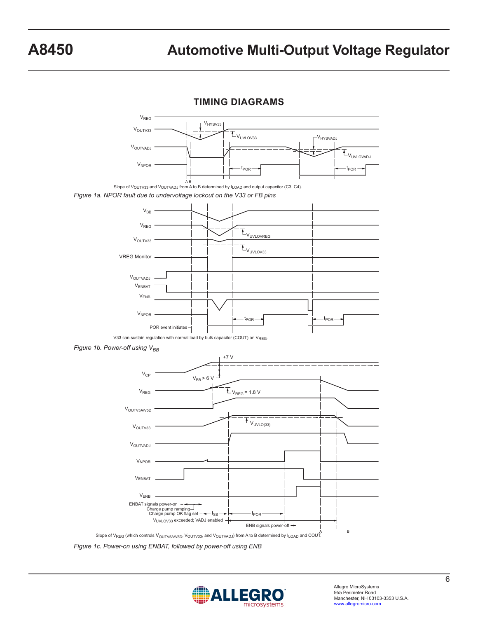**TIMING DIAGRAMS**



*Figure 1c. Power-on using ENBAT, followed by power-off using ENB*

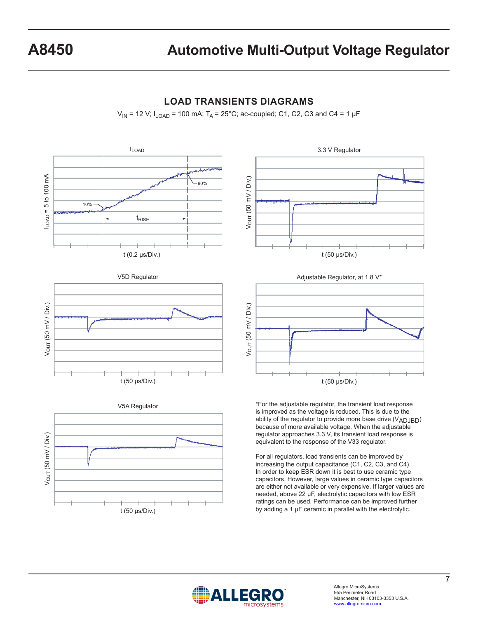

## **LOAD TRANSIENTS DIAGRAMS**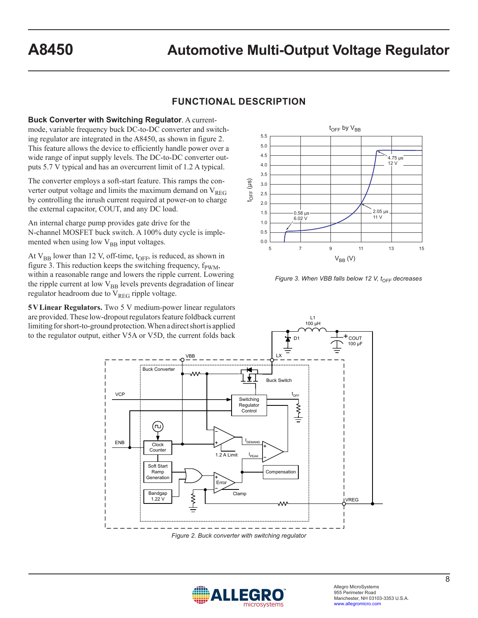# **FUNCTIONAL DESCRIPTION**

**Buck Converter with Switching Regulator**. A currentmode, variable frequency buck DC-to-DC converter and switching regulator are integrated in the A8450, as shown in figure 2. This feature allows the device to efficiently handle power over a wide range of input supply levels. The DC-to-DC converter outputs 5.7 V typical and has an overcurrent limit of 1.2 A typical.

The converter employs a soft-start feature. This ramps the converter output voltage and limits the maximum demand on  $V_{REG}$ by controlling the inrush current required at power-on to charge the external capacitor, COUT, and any DC load.

An internal charge pump provides gate drive for the N-channel MOSFET buck switch. A 100% duty cycle is implemented when using low  $V_{BB}$  input voltages.

At  $V_{BB}$  lower than 12 V, off-time,  $t_{OFF}$ , is reduced, as shown in figure 3. This reduction keeps the switching frequency,  $f_{\text{PWM}}$ , within a reasonable range and lowers the ripple current. Lowering the ripple current at low  $V_{BB}$  levels prevents degradation of linear regulator headroom due to  $V_{REG}$  ripple voltage.

**5VLinear Regulators.** Two 5 V medium-power linear regulators are provided. These low-dropout regulators feature foldback current limiting for short-to-ground protection. When a direct short is applied to the regulator output, either V5A or V5D, the current folds back



*Figure 3. When VBB falls below 12 V, t<sub>OFF</sub> decreases* 

L1 100 µH



*Figure 2. Buck converter with switching regulator*

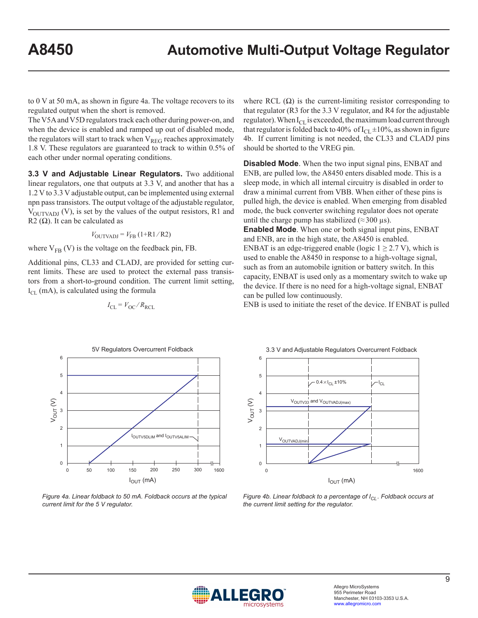to 0 V at 50 mA, as shown in figure 4a. The voltage recovers to its regulated output when the short is removed.

The V5A and V5D regulators track each other during power-on, and when the device is enabled and ramped up out of disabled mode, the regulators will start to track when  $V_{REG}$  reaches approximately 1.8 V. These regulators are guaranteed to track to within 0.5% of each other under normal operating conditions.

**3.3 V and Adjustable Linear Regulators.** Two additional linear regulators, one that outputs at 3.3 V, and another that has a 1.2 V to 3.3 V adjustable output, can be implemented using external npn pass transistors. The output voltage of the adjustable regulator,  $V_{\text{OUTVADI}}(V)$ , is set by the values of the output resistors, R1 and R2  $(\Omega)$ . It can be calculated as

$$
V_{\text{OUTVADI}} = V_{\text{FB}} \left(1 + \text{R1} / \text{R2}\right)
$$

where  $V_{FB}$  (V) is the voltage on the feedback pin, FB.

Additional pins, CL33 and CLADJ, are provided for setting current limits. These are used to protect the external pass transistors from a short-to-ground condition. The current limit setting,  $I_{CL}$  (mA), is calculated using the formula

$$
I_{\rm CL} = V_{\rm OC} / R_{\rm RCL}
$$

where RCL  $(\Omega)$  is the current-limiting resistor corresponding to that regulator (R3 for the 3.3 V regulator, and R4 for the adjustable regulator). When  $I_{CL}$  is exceeded, the maximum load current through that regulator is folded back to 40% of  $I_{CL} \pm 10$ %, as shown in figure 4b. If current limiting is not needed, the CL33 and CLADJ pins should be shorted to the VREG pin.

**Disabled Mode**. When the two input signal pins, ENBAT and ENB, are pulled low, the A8450 enters disabled mode. This is a sleep mode, in which all internal circuitry is disabled in order to draw a minimal current from VBB. When either of these pins is pulled high, the device is enabled. When emerging from disabled mode, the buck converter switching regulator does not operate until the charge pump has stabilized ( $\approx$ 300 µs).

**Enabled Mode**. When one or both signal input pins, ENBAT and ENB, are in the high state, the A8450 is enabled. ENBAT is an edge-triggered enable (logic  $1 \geq 2.7$  V), which is used to enable the A8450 in response to a high-voltage signal, such as from an automobile ignition or battery switch. In this capacity, ENBAT is used only as a momentary switch to wake up the device. If there is no need for a high-voltage signal, ENBAT can be pulled low continuously.

ENB is used to initiate the reset of the device. If ENBAT is pulled



*Figure 4a. Linear foldback to 50 mA. Foldback occurs at the typical current limit for the 5 V regulator.*



*Figure 4b. Linear foldback to a percentage of I<sub>CL</sub>. Foldback occurs at the current limit setting for the regulator.*

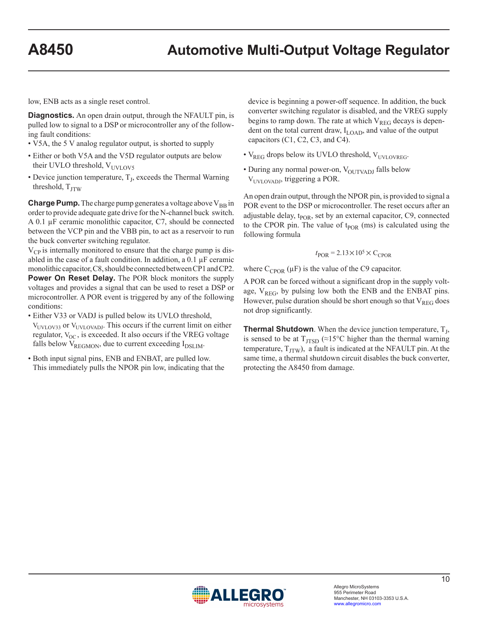low, ENB acts as a single reset control.

**Diagnostics.** An open drain output, through the NFAULT pin, is pulled low to signal to a DSP or microcontroller any of the following fault conditions:

- V5A, the 5 V analog regulator output, is shorted to supply
- Either or both V5A and the V5D regulator outputs are below their UVLO threshold,  $V_{UVLOVS}$
- Device junction temperature,  $T<sub>J</sub>$ , exceeds the Thermal Warning threshold,  $T_{\text{ITW}}$

**Charge Pump.** The charge pump generates a voltage above  $V_{BB}$  in order to provide adequate gate drive for the N-channel buck switch. A 0.1 µF ceramic monolithic capacitor, C7, should be connected between the VCP pin and the VBB pin, to act as a reservoir to run the buck converter switching regulator.

 $V_{CP}$  is internally monitored to ensure that the charge pump is disabled in the case of a fault condition. In addition, a  $0.1 \mu$ F ceramic monolithic capacitor, C8, should be connected between CP1 and CP2. **Power On Reset Delay.** The POR block monitors the supply voltages and provides a signal that can be used to reset a DSP or microcontroller. A POR event is triggered by any of the following conditions:

- Either V33 or VADJ is pulled below its UVLO threshold, V<sub>UVLOV33</sub> or V<sub>UVLOVADJ</sub>. This occurs if the current limit on either regulator,  $V_{OC}$ , is exceeded. It also occurs if the VREG voltage falls below  $V_{REGMON}$ , due to current exceeding  $I_{DSLIM}$ .
- Both input signal pins, ENB and ENBAT, are pulled low. This immediately pulls the NPOR pin low, indicating that the

device is beginning a power-off sequence. In addition, the buck converter switching regulator is disabled, and the VREG supply begins to ramp down. The rate at which  $V_{REG}$  decays is dependent on the total current draw,  $I_{\text{LOAD}}$ , and value of the output capacitors (C1, C2, C3, and C4).

- $V_{\text{REG}}$  drops below its UVLO threshold,  $V_{\text{UVLOVREG}}$ .
- During any normal power-on,  $V_{\text{OUTVADI}}$  falls below V<sub>UVLOVADJ</sub>, triggering a POR.

An open drain output, through the NPOR pin, is provided to signal a POR event to the DSP or microcontroller. The reset occurs after an adjustable delay,  $t_{\text{POR}}$ , set by an external capacitor, C9, connected to the CPOR pin. The value of  $t_{\text{POR}}$  (ms) is calculated using the following formula

$$
t_{\rm POR} = 2.13 \times 10^5 \times C_{\rm CPOR}
$$

where  $C_{CPOR}(\mu F)$  is the value of the C9 capacitor.

A POR can be forced without a significant drop in the supply voltage,  $V_{REG}$ , by pulsing low both the ENB and the ENBAT pins. However, pulse duration should be short enough so that  $V_{REG}$  does not drop significantly.

**Thermal Shutdown**. When the device junction temperature,  $T_{J}$ , is sensed to be at  $T_{\text{ITSD}}$  (≈15°C higher than the thermal warning temperature,  $T_{\text{ITW}}$ ), a fault is indicated at the NFAULT pin. At the same time, a thermal shutdown circuit disables the buck converter, protecting the A8450 from damage.

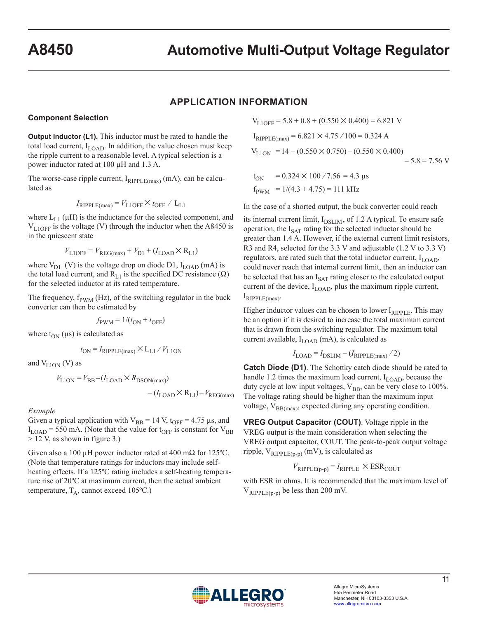### **APPLICATION INFORMATION**

#### **Component Selection**

**Output Inductor (L1).** This inductor must be rated to handle the total load current,  $I_{\text{LOAD}}$ . In addition, the value chosen must keep the ripple current to a reasonable level. A typical selection is a power inductor rated at 100 µH and 1.3 A.

The worse-case ripple current,  $I_{RIPPLE(max)}$  (mA), can be calculated as

$$
I_{\text{RIPPLE}(\text{max})} = V_{\text{LIOFF}} \times t_{\text{OFF}} / L_{\text{L1}}
$$

where  $L_{L1}(\mu H)$  is the inductance for the selected component, and  $V_{L10FF}$  is the voltage (V) through the inductor when the A8450 is in the quiescent state

$$
V_{\text{LIOFF}} = V_{\text{REG(max)}} + V_{\text{D1}} + (I_{\text{LOAD}} \times R_{\text{L1}})
$$

where  $V_{D1}$  (V) is the voltage drop on diode D1,  $I_{LOAD}$  (mA) is the total load current, and  $R_{L1}$  is the specified DC resistance ( $\Omega$ ) for the selected inductor at its rated temperature.

The frequency,  $f_{\text{PWM}}$  (Hz), of the switching regulator in the buck converter can then be estimated by

$$
f_{\text{PWM}} = 1/(t_{\text{ON}} + t_{\text{OFF}})
$$

where  $t_{ON}$  ( $\mu$ s) is calculated as

$$
t_{\rm ON} = I_{\rm RIPPLE(max)} \times L_{\rm L1} / V_{\rm L1ON}
$$

and  $V_{L10N}$  (V) as

 $V_{\text{LION}} = V_{\text{BB}} - (I_{\text{LOAD}} \times R_{\text{DSON(max)}})$  $-(I_{\text{LOAD}} \times R_{\text{L1}}) - V_{\text{REG(max)}}$ 

*Example*

Given a typical application with  $V_{BB} = 14$  V, t<sub>OFF</sub> = 4.75  $\mu$ s, and  $I_{\text{LOAD}}$  = 550 mA. (Note that the value for  $t_{\text{OFF}}$  is constant for  $V_{\text{BB}}$ > 12 V, as shown in figure 3.)

Given also a 100 µH power inductor rated at 400 m $\Omega$  for 125 °C. (Note that temperature ratings for inductors may include selfheating effects. If a 125ºC rating includes a self-heating temperature rise of 20ºC at maximum current, then the actual ambient temperature,  $T_A$ , cannot exceed 105°C.)

 $V_{L1OEF}$  = 5.8 + 0.8 + (0.550  $\times$  0.400) = 6.821 V  $I_{RIPPLE(max)} = 6.821 \times 4.75 / 100 = 0.324 A$  $V_{\text{L1ON}}$  = 14 – (0.550  $\times$  0.750) – (0.550  $\times$  0.400)  $-5.8 = 7.56$  V  $t_{ON}$  = 0.324 × 100 / 7.56 = 4.3 µs

 $f_{\text{PWM}} = 1/(4.3 + 4.75) = 111 \text{ kHz}$ 

In the case of a shorted output, the buck converter could reach

its internal current limit,  $I_{\text{DSLIM}}$ , of 1.2 A typical. To ensure safe operation, the  $I_{SAT}$  rating for the selected inductor should be greater than 1.4 A. However, if the external current limit resistors, R3 and R4, selected for the 3.3 V and adjustable (1.2 V to 3.3 V) regulators, are rated such that the total inductor current,  $I_{\text{LOAD}}$ , could never reach that internal current limit, then an inductor can be selected that has an  $I_{\text{SAT}}$  rating closer to the calculated output current of the device,  $I_{\text{LOAD}}$ , plus the maximum ripple current,  $I_{RIPPLE(max)}$ .

Higher inductor values can be chosen to lower  $I_{RIPPLE}$ . This may be an option if it is desired to increase the total maximum current that is drawn from the switching regulator. The maximum total current available,  $I_{\text{LOAD}}$  (mA), is calculated as

$$
I_{\text{LOAD}} = I_{\text{DSLIM}} - (I_{\text{RIPPLE(max)}}/2)
$$

**Catch Diode (D1)**. The Schottky catch diode should be rated to handle 1.2 times the maximum load current,  $I_{\text{LOAD}}$ , because the duty cycle at low input voltages,  $V_{BB}$ , can be very close to 100%. The voltage rating should be higher than the maximum input voltage,  $V_{BB(max)}$ , expected during any operating condition.

**VREG Output Capacitor (COUT)**. Voltage ripple in the VREG output is the main consideration when selecting the VREG output capacitor, COUT. The peak-to-peak output voltage ripple,  $V_{RIPPLE(p-p)}$  (mV), is calculated as

### $V_{\text{RIPPLE}(p-p)} = I_{\text{RIPPLE}} \times \text{ESR}_{\text{COUT}}$

with ESR in ohms. It is recommended that the maximum level of  $V_{RIPPLE(p-p)}$  be less than 200 mV.

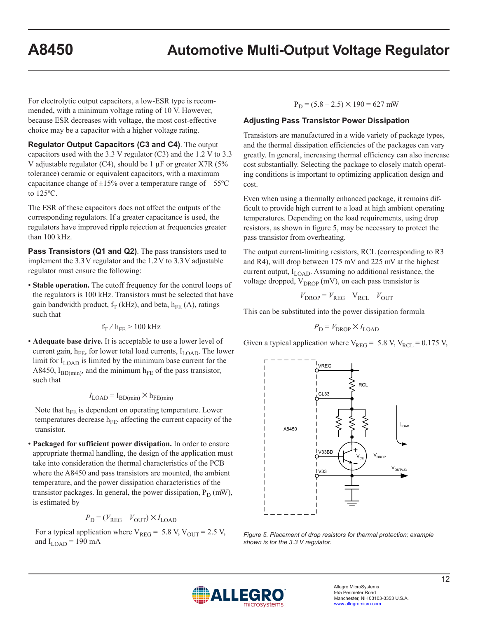For electrolytic output capacitors, a low-ESR type is recommended, with a minimum voltage rating of 10 V. However, because ESR decreases with voltage, the most cost-effective choice may be a capacitor with a higher voltage rating.

**Regulator Output Capacitors (C3 and C4)**. The output capacitors used with the 3.3 V regulator (C3) and the 1.2 V to 3.3 V adjustable regulator (C4), should be  $1 \mu$ F or greater X7R (5% tolerance) ceramic or equivalent capacitors, with a maximum capacitance change of  $\pm 15\%$  over a temperature range of  $-55^{\circ}$ C to 125ºC.

The ESR of these capacitors does not affect the outputs of the corresponding regulators. If a greater capacitance is used, the regulators have improved ripple rejection at frequencies greater than 100 kHz.

**Pass Transistors (Q1 and Q2)**. The pass transistors used to implement the  $3.3V$  regulator and the  $1.2V$  to  $3.3V$  adjustable regulator must ensure the following:

• **Stable operation.** The cutoff frequency for the control loops of the regulators is 100 kHz. Transistors must be selected that have gain bandwidth product,  $f_T$  (kHz), and beta,  $h_{FE}$  (A), ratings such that

$$
f_T\,/\,h_{FE} \geq 100~\text{kHz}
$$

• **Adequate base drive.** It is acceptable to use a lower level of current gain,  $h_{FE}$ , for lower total load currents,  $I_{LOAD}$ . The lower limit for  $I_{\text{LOAD}}$  is limited by the minimum base current for the A8450,  $I_{BD(min)}$ , and the minimum  $h_{FE}$  of the pass transistor, such that

$$
I_{\text{LOAD}} = I_{\text{BD(min)}} \times h_{\text{FE(min)}}
$$

Note that  $h_{FE}$  is dependent on operating temperature. Lower temperatures decrease  $h_{FE}$ , affecting the current capacity of the transistor.

• **Packaged for sufficient power dissipation.** In order to ensure appropriate thermal handling, the design of the application must take into consideration the thermal characteristics of the PCB where the A8450 and pass transistors are mounted, the ambient temperature, and the power dissipation characteristics of the transistor packages. In general, the power dissipation,  $P_D$  (mW), is estimated by

$$
P_{\rm D} = (V_{\rm REG} - V_{\rm OUT}) \times I_{\rm LOAD}
$$

For a typical application where  $V_{REG} = 5.8$  V,  $V_{OUT} = 2.5$  V, and  $I_{\text{LOAD}}$  = 190 mA

 $P_D = (5.8 - 2.5) \times 190 = 627$  mW

#### **Adjusting Pass Transistor Power Dissipation**

Transistors are manufactured in a wide variety of package types, and the thermal dissipation efficiencies of the packages can vary greatly. In general, increasing thermal efficiency can also increase cost substantially. Selecting the package to closely match operating conditions is important to optimizing application design and cost.

Even when using a thermally enhanced package, it remains difficult to provide high current to a load at high ambient operating temperatures. Depending on the load requirements, using drop resistors, as shown in figure 5, may be necessary to protect the pass transistor from overheating.

The output current-limiting resistors, RCL (corresponding to R3 and R4), will drop between 175 mV and 225 mV at the highest current output,  $I_{\text{LOAD}}$ . Assuming no additional resistance, the voltage dropped,  $V_{DROP}$  (mV), on each pass transistor is

$$
V_{\text{DROP}} = V_{\text{REG}} - V_{\text{RCL}} - V_{\text{OUT}}
$$

This can be substituted into the power dissipation formula

$$
P_{\rm D} = V_{\rm DROP} \times I_{\rm LOAD}
$$

Given a typical application where  $V_{REG} = 5.8 V, V_{RCL} = 0.175 V,$ 



*Figure 5. Placement of drop resistors for thermal protection; example shown is for the 3.3 V regulator.*

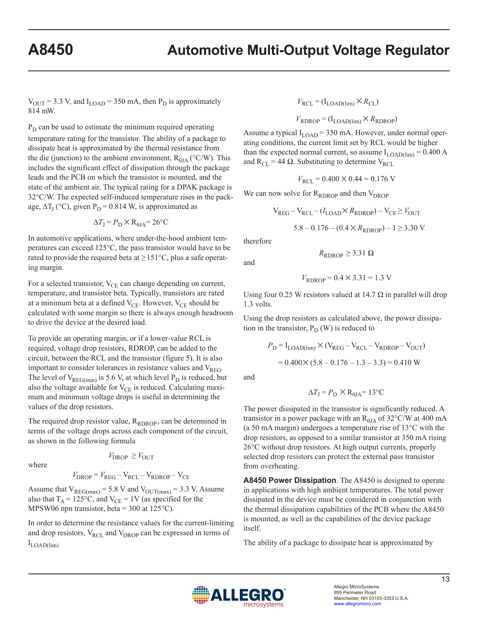$V_{\text{OUT}}$  = 3.3 V, and  $I_{\text{LOAD}}$  = 350 mA, then  $P_{\text{D}}$  is approximately 814 mW.

 $P_D$  can be used to estimate the minimum required operating temperature rating for the transistor. The ability of a package to dissipate heat is approximated by the thermal resistance from the die (junction) to the ambient environment,  $R_{\theta JA}$  (°C/W). This includes the significant effect of dissipation through the package leads and the PCB on which the transistor is mounted, and the state of the ambient air. The typical rating for a DPAK package is 32°C/W. The expected self-induced temperature rises in the package,  $\Delta T_I$  (°C), given P<sub>D</sub> = 0.814 W, is approximated as

$$
\Delta T_{\rm J} = P_{\rm D} \times R_{\rm \theta JA} = 26^{\circ}\rm C
$$

In automotive applications, where under-the-hood ambient temperatures can exceed 125°C, the pass transistor would have to be rated to provide the required beta at  $\geq 151^{\circ}$ C, plus a safe operating margin.

For a selected transistor,  $V_{CE}$  can change depending on current, temperature, and transistor beta. Typically, transistors are rated at a minimum beta at a defined  $V_{\text{CE}}$ . However,  $V_{\text{CE}}$  should be calculated with some margin so there is always enough headroom to drive the device at the desired load.

To provide an operating margin, or if a lower-value RCL is required, voltage drop resistors, RDROP, can be added to the circuit, between the RCL and the transistor (figure 5). It is also important to consider tolerances in resistance values and  $V_{REG}$ . The level of  $V_{REG(min)}$  is 5.6 V, at which level  $P_D$  is reduced, but also the voltage available for  $V_{CE}$  is reduced. Calculating maximum and minimum voltage drops is useful in determining the values of the drop resistors.

The required drop resistor value,  $R_{RDROP}$ , can be determined in terms of the voltage drops across each component of the circuit, as shown in the following formula

where

$$
V_{\text{DROP}} \geq V_{\text{OUT}}
$$

$$
V_{\text{DROP}} = V_{\text{REG}} - V_{\text{RCL}} - V_{\text{RDROP}} - V_{\text{CE}}
$$

Assume that  $V_{REG(max)} = 5.8$  V and  $V_{OUT(max)} = 3.3$  V. Assume also that  $T_A = 125$ °C, and  $V_{CE} = 1V$  (as specified for the MPSW06 npn transistor, beta = 300 at  $125^{\circ}$ C).

In order to determine the resistance values for the current-limiting and drop resistors,  $V_{\text{RCL}}$  and  $V_{\text{DROP}}$  can be expressed in terms of  $I_{\text{LOAD(lim)}}$ 

$$
V_{\text{RCL}} = (I_{\text{LOAD(lim)}} \times R_{\text{CL}})
$$

$$
V_{\text{RDROP}} = (I_{\text{LOAD(lim)}} \times R_{\text{RDROP}})
$$

Assume a typical  $I_{\text{LOAD}}$  = 350 mA. However, under normal operating conditions, the current limit set by RCL would be higher than the expected normal current, so assume  $I_{\text{LOAD(lim)}} = 0.400 \text{ A}$ and  $R_{CL} = 44 \Omega$ . Substituting to determine V<sub>RCL</sub>

$$
V_{\text{RCL}} = 0.400 \times 0.44 = 0.176 \text{ V}
$$

We can now solve for  $R_{RDROP}$  and then  $V_{DROP}$ 

$$
V_{REG} - V_{RCL} - (I_{LOAD} \times R_{RDROP}) - V_{CE} \geq V_{OUT}
$$
  
5.8 - 0.176 - (0.4 × R\_{RDROP}) - 1  $\geq$  3.30 V

therefore

and

$$
V_{\text{RDROP}} = 0.4 \times 3.31 = 1.3 \text{ V}
$$

 $R_{\text{RDROP}} \geq 3.31 \Omega$ 

Using four 0.25 W resistors valued at 14.7  $\Omega$  in parallel will drop 1.3 volts.

Using the drop resistors as calculated above, the power dissipation in the transistor,  $P_D(W)$  is reduced to

$$
P_{\rm D} = I_{\rm LOAD(lim)} \times (V_{\rm REG} - V_{\rm RCL} - V_{\rm RDROP} - V_{\rm OUT})
$$

$$
= 0.400 \times (5.8 - 0.176 - 1.3 - 3.3) = 0.410 \text{ W}
$$

and

$$
\Delta T_{\rm J} = P_{\rm D} \times R_{\rm \theta JA} = 13^{\circ}{\rm C}
$$

The power dissipated in the transistor is significantly reduced. A transistor in a power package with an  $R_{\theta JA}$  of 32°C/W at 400 mA (a 50 mA margin) undergoes a temperature rise of 13°C with the drop resistors, as opposed to a similar transistor at 350 mA rising 26°C without drop resistors. At high output currents, properly selected drop resistors can protect the external pass transistor from overheating.

**A8450 Power Dissipation**. The A8450 is designed to operate in applications with high ambient temperatures. The total power dissipated in the device must be considered in conjunction with the thermal dissipation capabilities of the PCB where the A8450 is mounted, as well as the capabilities of the device package itself.

The ability of a package to dissipate heat is approximated by

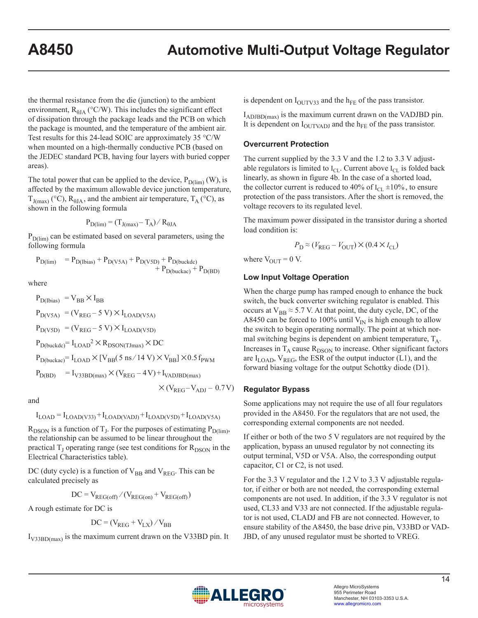the thermal resistance from the die (junction) to the ambient environment,  $R_{\theta JA}$  (°C/W). This includes the significant effect of dissipation through the package leads and the PCB on which the package is mounted, and the temperature of the ambient air. Test results for this 24-lead SOIC are approximately 35 °C/W when mounted on a high-thermally conductive PCB (based on the JEDEC standard PCB, having four layers with buried copper areas).

The total power that can be applied to the device,  $P_{D(lim)}(W)$ , is affected by the maximum allowable device junction temperature,  $T_{J(max)}$  (°C),  $R_{\theta JA}$ , and the ambient air temperature,  $T_A$  (°C), as shown in the following formula

$$
P_{D(lim)} = (T_{J(max)} - T_A) / R_{\theta JA}
$$

 $P_{D(lim)}$  can be estimated based on several parameters, using the following formula

$$
\begin{array}{ll} P_{D(lim)} & = P_{D(lbias)} + P_{D(V5A)} + P_{D(V5D)} + P_{D(buckac)} \\ & + P_{D(buckac)} + P_{D(BD)} \end{array}
$$

where

$$
P_{D(Ibias)} = V_{BB} \times I_{BB}
$$
  
\n
$$
P_{D(V5A)} = (V_{REG} - 5 V) \times I_{LOAD(V5A)}
$$
  
\n
$$
P_{D(V5D)} = (V_{REG} - 5 V) \times I_{LOAD(V5D)}
$$
  
\n
$$
P_{D(buckdc)} = I_{LOAD}^2 \times R_{DSON(TJmax)} \times DC
$$
  
\n
$$
P_{D(buckac)} = I_{LOAD} \times [V_{BB}(5 \text{ ns}/14 V) \times V_{BB}] \times 0.5 f_{PWM}
$$
  
\n
$$
P_{D(BD)} = I_{V33BD(max)} \times (V_{REG} - 4 V) + I_{VADJBD(max)}
$$

and

 $I_{\text{LOAD}} = I_{\text{LOAD}(V33)} + I_{\text{LOAD}(VADJ)} + I_{\text{LOAD}(V5D)} + I_{\text{LOAD}(V5A)}$ 

 $\times$ (V<sub>REG</sub>-V<sub>ADJ</sub> – 0.7V)

 $R_{DSON}$  is a function of T<sub>J</sub>. For the purposes of estimating  $P_{D(lim)}$ , the relationship can be assumed to be linear throughout the practical  $T_J$  operating range (see test conditions for  $R_{DSON}$  in the Electrical Characteristics table).

DC (duty cycle) is a function of  $V_{BB}$  and  $V_{REG}$ . This can be calculated precisely as

$$
DC = V_{REG(off)} / (V_{REG(on)} + V_{REG(off)})
$$

A rough estimate for DC is

$$
DC = (V_{REG} + V_{LX}) / V_{BB}
$$

 $I_{V33BD(max)}$  is the maximum current drawn on the V33BD pin. It

is dependent on  $I_{\text{OUTV33}}$  and the  $h_{\text{FE}}$  of the pass transistor.

 $I_{ADJBD(max)}$  is the maximum current drawn on the VADJBD pin. It is dependent on  $I_{\text{OUTVADJ}}$  and the  $h_{\text{FE}}$  of the pass transistor.

#### **Overcurrent Protection**

The current supplied by the 3.3 V and the 1.2 to 3.3 V adjustable regulators is limited to  $I_{CL}$ . Current above  $I_{CL}$  is folded back linearly, as shown in figure 4b. In the case of a shorted load, the collector current is reduced to 40% of  $I_{CL} \pm 10$ %, to ensure protection of the pass transistors. After the short is removed, the voltage recovers to its regulated level.

The maximum power dissipated in the transistor during a shorted load condition is:

$$
P_{\rm D} \approx (V_{\rm REG} - V_{\rm OUT}) \times (0.4 \times I_{\rm CL})
$$

where  $V_{\text{OUT}} = 0$  V.

#### **Low Input Voltage Operation**

When the charge pump has ramped enough to enhance the buck switch, the buck converter switching regulator is enabled. This occurs at  $V_{BB} \approx 5.7$  V. At that point, the duty cycle, DC, of the A8450 can be forced to 100% until  $V_{IN}$  is high enough to allow the switch to begin operating normally. The point at which normal switching begins is dependent on ambient temperature,  $T_A$ . Increases in  $T_A$  cause  $R_{DSON}$  to increase. Other significant factors are  $I_{\text{LOAD}}$ ,  $V_{\text{REG}}$ , the ESR of the output inductor (L1), and the forward biasing voltage for the output Schottky diode (D1).

#### **Regulator Bypass**

Some applications may not require the use of all four regulators provided in the A8450. For the regulators that are not used, the corresponding external components are not needed.

If either or both of the two 5 V regulators are not required by the application, bypass an unused regulator by not connecting its output terminal, V5D or V5A. Also, the corresponding output capacitor, C1 or C2, is not used.

For the 3.3 V regulator and the 1.2 V to 3.3 V adjustable regulator, if either or both are not needed, the corresponding external components are not used. In addition, if the 3.3 V regulator is not used, CL33 and V33 are not connected. If the adjustable regulator is not used, CLADJ and FB are not connected. However, to ensure stability of the A8450, the base drive pin, V33BD or VAD-JBD, of any unused regulator must be shorted to VREG.

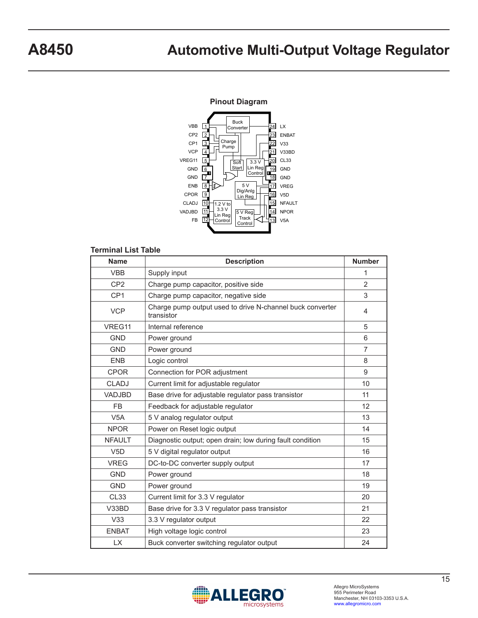#### **Pinout Diagram**



#### **Terminal List Table**

| <b>Name</b>     | <b>Description</b>                                                      | <b>Number</b>  |
|-----------------|-------------------------------------------------------------------------|----------------|
| <b>VBB</b>      | Supply input                                                            | 1              |
| CP <sub>2</sub> | Charge pump capacitor, positive side                                    | $\overline{2}$ |
| CP <sub>1</sub> | Charge pump capacitor, negative side                                    | 3              |
| <b>VCP</b>      | Charge pump output used to drive N-channel buck converter<br>transistor | 4              |
| VREG11          | Internal reference                                                      | 5              |
| <b>GND</b>      | Power ground                                                            | 6              |
| <b>GND</b>      | Power ground                                                            | $\overline{7}$ |
| <b>ENB</b>      | Logic control                                                           | 8              |
| <b>CPOR</b>     | Connection for POR adjustment                                           | 9              |
| <b>CLADJ</b>    | Current limit for adjustable regulator                                  | 10             |
| VADJBD          | Base drive for adjustable regulator pass transistor                     | 11             |
| <b>FB</b>       | Feedback for adjustable regulator                                       | 12             |
| V5A             | 5 V analog regulator output                                             | 13             |
| <b>NPOR</b>     | Power on Reset logic output                                             | 14             |
| <b>NFAULT</b>   | Diagnostic output; open drain; low during fault condition               | 15             |
| V5D             | 5 V digital regulator output                                            | 16             |
| <b>VREG</b>     | DC-to-DC converter supply output                                        | 17             |
| <b>GND</b>      | Power ground                                                            | 18             |
| <b>GND</b>      | Power ground                                                            | 19             |
| <b>CL33</b>     | Current limit for 3.3 V regulator                                       | 20             |
| V33BD           | Base drive for 3.3 V regulator pass transistor                          | 21             |
| V33             | 3.3 V regulator output                                                  | 22             |
| <b>ENBAT</b>    | High voltage logic control                                              | 23             |
| <b>LX</b>       | Buck converter switching regulator output                               | 24             |

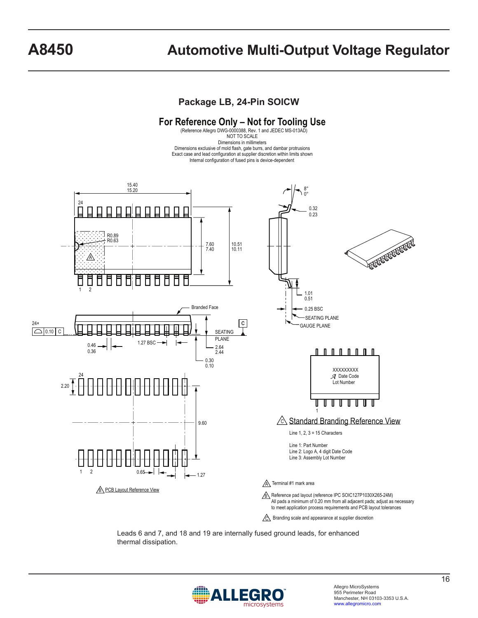### **Package LB, 24-Pin SOICW**



 $\mathbb{C}\backslash$  Branding scale and appearance at supplier discretion

Leads 6 and 7, and 18 and 19 are internally fused ground leads, for enhanced thermal dissipation.